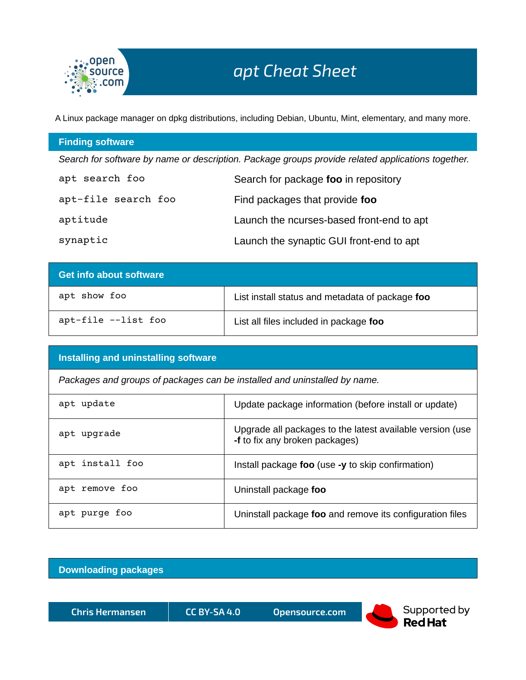

A Linux package manager on dpkg distributions, including Debian, Ubuntu, Mint, elementary, and many more.

## **Finding software**

*Search for software by name or description. Package groups provide related applications together.*

| apt search foo      | Search for package foo in repository      |
|---------------------|-------------------------------------------|
| apt-file search foo | Find packages that provide foo            |
| aptitude            | Launch the ncurses-based front-end to apt |
| synaptic            | Launch the synaptic GUI front-end to apt  |

| <b>Get info about software</b> |                                                 |
|--------------------------------|-------------------------------------------------|
| apt show foo                   | List install status and metadata of package foo |
| apt-file --list foo            | List all files included in package foo          |

## **Installing and uninstalling software**

*Packages and groups of packages can be installed and uninstalled by name.*

| apt update      | Update package information (before install or update)                                       |
|-----------------|---------------------------------------------------------------------------------------------|
| apt upgrade     | Upgrade all packages to the latest available version (use<br>-f to fix any broken packages) |
| apt install foo | Install package foo (use -y to skip confirmation)                                           |
| apt remove foo  | Uninstall package foo                                                                       |
| apt purge foo   | Uninstall package foo and remove its configuration files                                    |

## **Downloading packages**